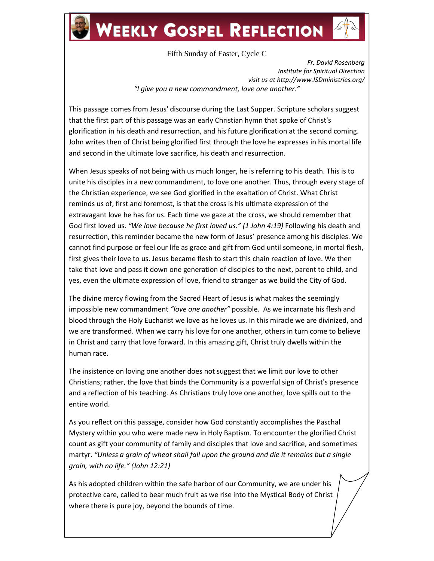# **WEEKLY GOSPEL REFLECTION**

Fifth Sunday of Easter, Cycle C

*Fr. David Rosenberg Institute for Spiritual Direction visit us at http://www.ISDministries.org/ "I give you a new commandment, love one another."*

This passage comes from Jesus' discourse during the Last Supper. Scripture scholars suggest that the first part of this passage was an early Christian hymn that spoke of Christ's glorification in his death and resurrection, and his future glorification at the second coming. John writes then of Christ being glorified first through the love he expresses in his mortal life and second in the ultimate love sacrifice, his death and resurrection.

When Jesus speaks of not being with us much longer, he is referring to his death. This is to unite his disciples in a new commandment, to love one another. Thus, through every stage of the Christian experience, we see God glorified in the exaltation of Christ. What Christ reminds us of, first and foremost, is that the cross is his ultimate expression of the extravagant love he has for us. Each time we gaze at the cross, we should remember that God first loved us. *"We love because he first loved us." (1 John 4:19)* Following his death and resurrection, this reminder became the new form of Jesus' presence among his disciples. We cannot find purpose or feel our life as grace and gift from God until someone, in mortal flesh, first gives their love to us. Jesus became flesh to start this chain reaction of love. We then take that love and pass it down one generation of disciples to the next, parent to child, and yes, even the ultimate expression of love, friend to stranger as we build the City of God.

The divine mercy flowing from the Sacred Heart of Jesus is what makes the seemingly impossible new commandment *"love one another"* possible. As we incarnate his flesh and blood through the Holy Eucharist we love as he loves us. In this miracle we are divinized, and we are transformed. When we carry his love for one another, others in turn come to believe in Christ and carry that love forward. In this amazing gift, Christ truly dwells within the human race.

The insistence on loving one another does not suggest that we limit our love to other Christians; rather, the love that binds the Community is a powerful sign of Christ's presence and a reflection of his teaching. As Christians truly love one another, love spills out to the entire world.

As you reflect on this passage, consider how God constantly accomplishes the Paschal Mystery within you who were made new in Holy Baptism. To encounter the glorified Christ count as gift your community of family and disciples that love and sacrifice, and sometimes martyr. *"Unless a grain of wheat shall fall upon the ground and die it remains but a single grain, with no life." (John 12:21)*

As his adopted children within the safe harbor of our Community, we are under his protective care, called to bear much fruit as we rise into the Mystical Body of Christ where there is pure joy, beyond the bounds of time.